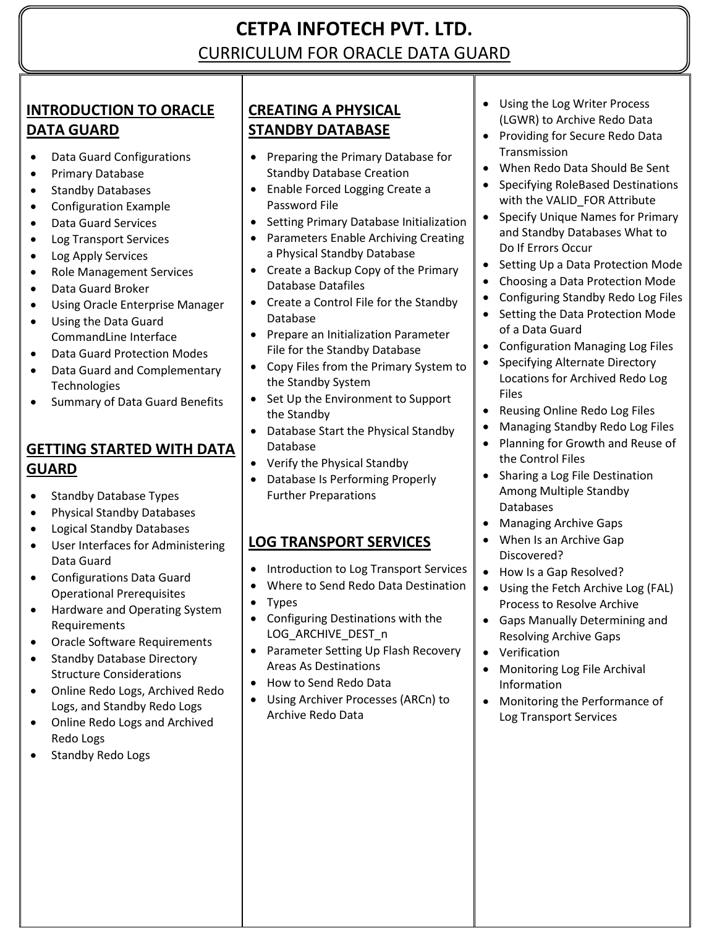# **CETPA INFOTECH PVT. LTD.** CURRICULUM FOR ORACLE DATA GUARD

## **INTRODUCTION TO ORACLE DATA GUARD**

- Data Guard Configurations
- Primary Database
- Standby Databases
- Configuration Example
- Data Guard Services
- Log Transport Services
- Log Apply Services
- Role Management Services
- Data Guard Broker
- Using Oracle Enterprise Manager
- Using the Data Guard CommandLine Interface
- Data Guard Protection Modes
- Data Guard and Complementary **Technologies**
- Summary of Data Guard Benefits

## **GETTING STARTED WITH DATA GUARD**

- Standby Database Types
- Physical Standby Databases
- Logical Standby Databases
- User Interfaces for Administering Data Guard
- Configurations Data Guard Operational Prerequisites
- Hardware and Operating System Requirements
- Oracle Software Requirements
- Standby Database Directory Structure Considerations
- Online Redo Logs, Archived Redo Logs, and Standby Redo Logs
- Online Redo Logs and Archived Redo Logs
- Standby Redo Logs

#### **CREATING A PHYSICAL STANDBY DATABASE**

- Preparing the Primary Database for Standby Database Creation
- Enable Forced Logging Create a Password File
- Setting Primary Database Initialization
- Parameters Enable Archiving Creating a Physical Standby Database
- Create a Backup Copy of the Primary Database Datafiles
- Create a Control File for the Standby Database
- Prepare an Initialization Parameter File for the Standby Database
- Copy Files from the Primary System to the Standby System
- Set Up the Environment to Support the Standby
- Database Start the Physical Standby Database
- Verify the Physical Standby
- Database Is Performing Properly Further Preparations

#### **LOG TRANSPORT SERVICES**

- Introduction to Log Transport Services
- Where to Send Redo Data Destination
- Types
- Configuring Destinations with the LOG\_ARCHIVE\_DEST\_n
- Parameter Setting Up Flash Recovery Areas As Destinations
- How to Send Redo Data
- Using Archiver Processes (ARCn) to Archive Redo Data
- Using the Log Writer Process (LGWR) to Archive Redo Data
- Providing for Secure Redo Data Transmission
- When Redo Data Should Be Sent
- Specifying RoleBased Destinations with the VALID FOR Attribute
- Specify Unique Names for Primary and Standby Databases What to Do If Errors Occur
- Setting Up a Data Protection Mode
- Choosing a Data Protection Mode
- Configuring Standby Redo Log Files
- Setting the Data Protection Mode of a Data Guard
- Configuration Managing Log Files
- Specifying Alternate Directory Locations for Archived Redo Log Files
- Reusing Online Redo Log Files
- Managing Standby Redo Log Files
- Planning for Growth and Reuse of the Control Files
- Sharing a Log File Destination Among Multiple Standby Databases
- Managing Archive Gaps
- When Is an Archive Gap Discovered?
- How Is a Gap Resolved?
- Using the Fetch Archive Log (FAL) Process to Resolve Archive
- Gaps Manually Determining and Resolving Archive Gaps
- Verification
- Monitoring Log File Archival Information
- Monitoring the Performance of Log Transport Services